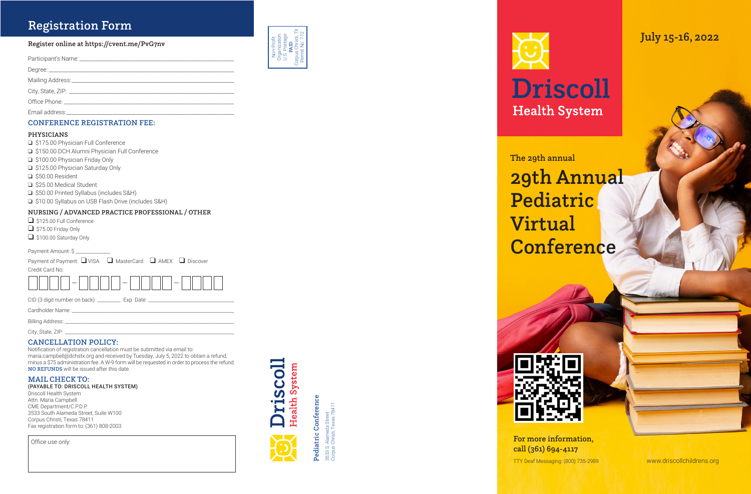# **Registration Form**

#### Register online at https://cvent.me/PvG7nv

| Email address: |
|----------------|

## **CONFERENCE REGISTRATION FEE:**

#### **PHYSICIANS**

- S175.00 Physician Full Conference
- S150.00 DCH Alumni Physician Full Conference
- S100.00 Physician Friday Only
- S125.00 Physician Saturday Only
- S50.00 Resident
- S25.00 Medical Student
- S50.00 Printed Syllabus (includes S&H)
- □ \$10.00 Syllabus on USB Flash Drive (includes S&H)

#### NURSING / ADVANCED PRACTICE PROFESSIONAL / OTHER

- S125.00 Full Conference
- $\Box$  \$75.00 Friday Only
- S100.00 Saturday Only

Payment Amount: \$

Payment of Payment: ■ VISA ■ MasterCard ■ AMEX ■ Discover Credit Card No:



CID (3 digit number on back) \_\_\_\_\_\_\_\_\_\_\_\_ Exp. Date: \_\_\_\_\_\_\_\_\_\_\_\_\_\_\_\_\_\_\_\_\_\_\_\_\_\_\_

Cardholder Name: \_

Billing Address: \_

City, State, ZIP: \_\_\_\_\_\_\_\_\_\_

#### **CANCELLATION POLICY:**

Notification of registration cancellation must be submitted via email to: maria.campbell@dchstx.org and received by Tuesday, July 5, 2022 to obtain a refund, minus a \$75 administration fee. A W-9 form will be requested in order to process the refund. NO REFUNDS will be issued after this date.

#### **MAIL CHECK TO:**

(PAYABLE TO: DRISCOLL HEALTH SYSTEM)

Driscoll Health System Attn. Maria Campbell CME Department/C.P.D.P. 3533 South Alameda Street, Suite W100 Corpus Christi, Texas 78411 Fax registration form to: (361) 808-2003

Office use only:



Non-Profit<br>Organization<br>U.S. Postage<br>**PAID** 



Pediatric Conference



3533 S. Alameda Street<br>Corpus Christi, Texas 78411





# **Driscoll Health System**

July 15-16, 2022

The 29th annual

29th Annual Pediatric **Virtual** Conference

For more information, call (361) 694-4117

TTY Deaf Messaging: (800) 735-2989

www.driscollchildrens.org